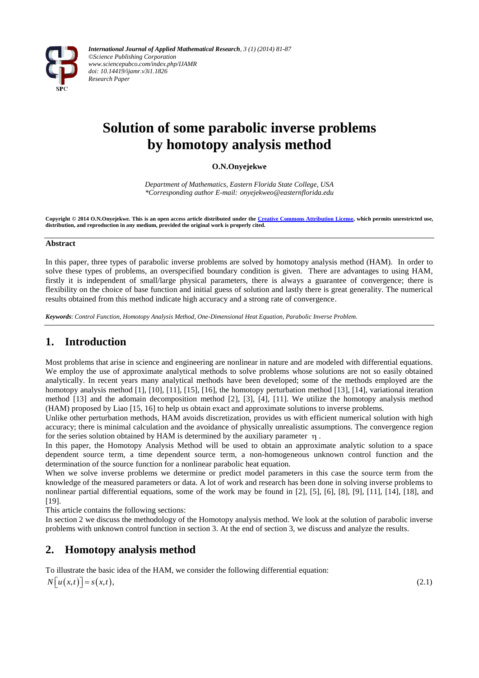

# **Solution of some parabolic inverse problems by homotopy analysis method**

## **O.N.Onyejekwe**

*Department of Mathematics, Eastern Florida State College, USA \*Corresponding author E-mail: onyejekweo@easternflorida.edu*

**Copyright © 2014 O.N.Onyejekwe. This is an open access article distributed under th[e Creative Commons Attribution License,](http://creativecommons.org/licenses/by/3.0/) which permits unrestricted use, distribution, and reproduction in any medium, provided the original work is properly cited.**

#### **Abstract**

In this paper, three types of parabolic inverse problems are solved by homotopy analysis method (HAM). In order to solve these types of problems, an overspecified boundary condition is given. There are advantages to using HAM, firstly it is independent of small/large physical parameters, there is always a guarantee of convergence; there is flexibility on the choice of base function and initial guess of solution and lastly there is great generality. The numerical results obtained from this method indicate high accuracy and a strong rate of convergence.

*Keywords*: *Control Function, Homotopy Analysis Method, One-Dimensional Heat Equation, Parabolic Inverse Problem.*

# **1. Introduction**

Most problems that arise in science and engineering are nonlinear in nature and are modeled with differential equations. We employ the use of approximate analytical methods to solve problems whose solutions are not so easily obtained analytically. In recent years many analytical methods have been developed; some of the methods employed are the homotopy analysis method [1], [10], [11], [15], [16], the homotopy perturbation method [13], [14], variational iteration method [13] and the adomain decomposition method [2], [3], [4], [11]. We utilize the homotopy analysis method (HAM) proposed by Liao [15, 16] to help us obtain exact and approximate solutions to inverse problems.

Unlike other perturbation methods, HAM avoids discretization, provides us with efficient numerical solution with high accuracy; there is minimal calculation and the avoidance of physically unrealistic assumptions. The convergence region for the series solution obtained by HAM is determined by the auxiliary parameter  $\eta$ .

In this paper, the Homotopy Analysis Method will be used to obtain an approximate analytic solution to a space dependent source term, a time dependent source term, a non-homogeneous unknown control function and the determination of the source function for a nonlinear parabolic heat equation.

When we solve inverse problems we determine or predict model parameters in this case the source term from the knowledge of the measured parameters or data. A lot of work and research has been done in solving inverse problems to nonlinear partial differential equations, some of the work may be found in [2], [5], [6], [8], [9], [11], [14], [18], and [19].

This article contains the following sections:

In section 2 we discuss the methodology of the Homotopy analysis method. We look at the solution of parabolic inverse problems with unknown control function in section 3. At the end of section 3, we discuss and analyze the results.

# **2. Homotopy analysis method**

To illustrate the basic idea of the HAM, we consider the following differential equation:  $N[u(x,t)] = s(x,t),$  $(2.1)$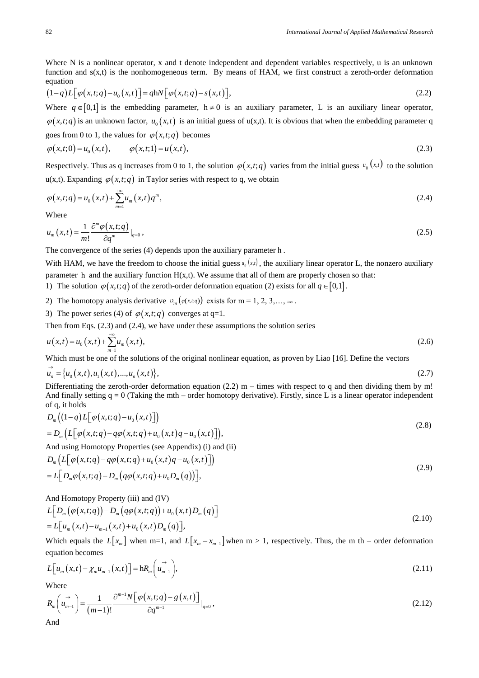Where N is a nonlinear operator, x and t denote independent and dependent variables respectively, u is an unknown function and s(x,t) is the nonhomogeneous term. By means of HAM, we first construct a zeroth-order deformation equation

equation  
\n
$$
(1-q)L[\varphi(x,t;q)-u_0(x,t)]=qhN[\varphi(x,t;q)-s(x,t)],
$$
\n(2.2)

Where  $q \in [0,1]$  is the embedding parameter,  $h \neq 0$  is an auxiliary parameter, L is an auxiliary linear operator,  $\varphi(x,t;q)$  is an unknown factor,  $u_0(x,t)$  is an initial guess of u(x,t). It is obvious that when the embedding parameter q

goes from 0 to 1, the values for 
$$
\varphi(x,t;q)
$$
 becomes  
\n
$$
\varphi(x,t;0) = u_0(x,t), \qquad \varphi(x,t;1) = u(x,t),
$$
\n(2.3)

Respectively. Thus as q increases from 0 to 1, the solution  $\varphi(x,t;q)$  varies from the initial guess  $u_0(x,t)$  to the solution  $u(x,t)$ . Expanding  $\varphi(x,t;q)$  in Taylor series with respect to q, we obtain

$$
\varphi(x,t;q) = u_0(x,t) + \sum_{m=1}^{+\infty} u_m(x,t)q^m,
$$
\n(2.4)

Where

$$
u_m(x,t) = \frac{1}{m!} \frac{\partial^m \varphi(x,t;q)}{\partial q^m} \big|_{q=0},\tag{2.5}
$$

The convergence of the series (4) depends upon the auxiliary parameter h .

With HAM, we have the freedom to choose the initial guess  $u_0(x,t)$ , the auxiliary linear operator L, the nonzero auxiliary parameter h and the auxiliary function  $H(x,t)$ . We assume that all of them are properly chosen so that:

1) The solution  $\varphi(x,t;q)$  of the zeroth-order deformation equation (2) exists for all  $q \in [0,1]$ .

- 2) The homotopy analysis derivative  $D_m(\varphi(x,t;q))$  exists for m = 1, 2, 3, ..., + $\infty$ .
- 3) The power series (4) of  $\varphi(x,t;q)$  converges at q=1.

Then from Eqs. (2.3) and (2.4), we have under these assumptions the solution series

$$
u(x,t) = u_0(x,t) + \sum_{m=1}^{+\infty} u_m(x,t),
$$
\n(2.6)

Which must be one of the solutions of the original nonlinear equation, as proven by Liao [16]. Define the vectors

$$
\vec{u}_n = \{u_0(x,t), u_1(x,t), ..., u_n(x,t)\},
$$
\n(2.7)

Differentiating the zeroth-order deformation equation (2.2)  $m -$  times with respect to q and then dividing them by m! And finally setting  $q = 0$  (Taking the mth – order homotopy derivative). Firstly, since L is a linear operator independent of q, it holds<br>  $D_m((1-q)L[\varphi(x,t;q)-u_0(x,t))]$ it holds<br>  $(1-q)L[\varphi(x,t;q)-u_0(x)]$ 

of q, it holds  
\n
$$
D_m\Big((1-q)L[\varphi(x,t;q)-u_0(x,t)]\Big)
$$
\n
$$
=D_m\Big(L[\varphi(x,t;q)-q\varphi(x,t;q)+u_0(x,t)q-u_0(x,t)]\Big),\tag{2.8}
$$

And using Homotopy Properties (see Appendix) (i) and (ii)  
\n
$$
D_m \left( L \left[ \varphi(x, t; q) - q \varphi(x, t; q) + u_0(x, t) q - u_0(x, t) \right] \right)
$$
\n
$$
= L \left[ D_m \varphi(x, t; q) - D_m \left( q \varphi(x, t; q) + u_0 D_m(q) \right) \right],
$$
\n(2.9)

And Homotopy Property (iii) and (IV)  
\n
$$
L\Big[D_m\big(\varphi(x,t;q)\big)-D_m\big(q\varphi(x,t;q)\big)+u_0\big(x,t\big)D_m\big(q\big)\Big]
$$
\n
$$
=L\Big[u_m\big(x,t\big)-u_{m-1}\big(x,t\big)+u_0\big(x,t\big)D_m\big(q\big)\Big],
$$
\n(2.10)

Which equals the  $L[x_m]$  when m=1, and  $L[x_m - x_{m-1}]$  when m > 1, respectively. Thus, the m th – order deformation equation becomes

equation becomes  
\n
$$
L[u_m(x,t) - \chi_m u_{m-1}(x,t)] = hR_m\left(u_{m-1}^+\right),
$$
\n(2.11)

Where  
\n
$$
R_m\left(\vec{u}_{m-1}\right) = \frac{1}{(m-1)!} \frac{\partial^{m-1}N\left[\varphi\left(x,t;q\right) - g\left(x,t\right)\right]}{\partial q^{m-1}}\bigg|_{q=0},
$$
\n(2.12)

And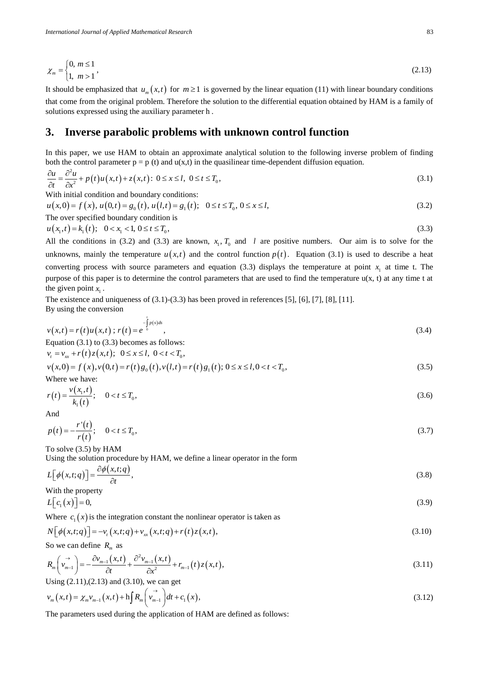$$
\chi_m = \begin{cases} 0, & m \le 1 \\ 1, & m > 1 \end{cases}, \tag{2.13}
$$

It should be emphasized that  $u_m(x,t)$  for  $m \ge 1$  is governed by the linear equation (11) with linear boundary conditions that come from the original problem. Therefore the solution to the differential equation obtained by HAM is a family of solutions expressed using the auxiliary parameter h .

## **3. Inverse parabolic problems with unknown control function**

In this paper, we use HAM to obtain an approximate analytical solution to the following inverse problem of finding

both the control parameter 
$$
p = p(t)
$$
 and  $u(x,t)$  in the quasilinear time-dependent diffusion equation.  
\n
$$
\frac{\partial u}{\partial t} = \frac{\partial^2 u}{\partial x^2} + p(t)u(x,t) + z(x,t): 0 \le x \le l, 0 \le t \le T_0,
$$
\n(3.1)

With initial condition and boundary conditions:

$$
\partial t \quad \partial x^2 \quad F(t) = (0, t) \quad \text{and} \quad t \ge 0.1
$$
\n
$$
\text{With initial condition and boundary conditions:}
$$
\n
$$
u(x, 0) = f(x), u(0, t) = g_0(t), u(l, t) = g_1(t); \quad 0 \le t \le T_0, 0 \le x \le l,
$$
\n
$$
\text{The over specified boundary condition is}
$$
\n
$$
(3.2)
$$

$$
u(x_1, t) = k_1(t); \quad 0 < x_1 < 1, \quad 0 \le t \le T_0,\tag{3.3}
$$

All the conditions in (3.2) and (3.3) are known,  $x_1, T_0$  and l are positive numbers. Our aim is to solve for the unknowns, mainly the temperature  $u(x,t)$  and the control function  $p(t)$ . Equation (3.1) is used to describe a heat converting process with source parameters and equation (3.3) displays the temperature at point  $x<sub>1</sub>$  at time t. The purpose of this paper is to determine the control parameters that are used to find the temperature  $u(x, t)$  at any time t at the given point  $x_1$ .

The existence and uniqueness of  $(3.1)$ - $(3.3)$  has been proved in references  $[5]$ ,  $[6]$ ,  $[7]$ ,  $[8]$ ,  $[11]$ . By using the conversion

$$
v(x,t) = r(t)u(x,t) \; ; \; r(t) = e^{-\int_0^t p(s)ds}, \tag{3.4}
$$

Equation (3.1) to (3.3) becomes as follows:

$$
v_t = v_{xx} + r(t)z(x,t); \ \ 0 \le x \le l, \ \ 0 < t < T_0,
$$

Equation (3.1) to (3.3) becomes as follows:  
\n
$$
v_t = v_{xx} + r(t)z(x,t); \quad 0 \le x \le l, \quad 0 < t < T_0,
$$
\n
$$
v(x,0) = f(x), v(0,t) = r(t)g_0(t), v(l,t) = r(t)g_1(t); \quad 0 \le x \le l, 0 < t < T_0,
$$
\n(3.5)

where we have:  

$$
r(t) = \frac{v(x_1, t)}{k_1(t)}; \quad 0 < t \le T_0,
$$
 (3.6)

$$
And
$$

$$
p(t) = -\frac{r'(t)}{r(t)}; \quad 0 < t \le T_0,
$$
\n(3.7)

To solve (3.5) by HAM

Using the solution procedure by HAM, we define a linear operator in the form

$$
L[\phi(x,t;q)] = \frac{\partial \phi(x,t;q)}{\partial t},
$$
\n(3.8)

With the property 
$$
\overline{a}
$$

$$
L\big[c_1(x)\big]=0,\tag{3.9}
$$

Where  $c_1(x)$  is the integration constant the nonlinear operator is taken as

$$
N[\phi(x,t;q)] = -v_t(x,t;q) + v_{xx}(x,t;q) + r(t)z(x,t),
$$
\n(3.10)

So we can define 
$$
R_m
$$
 as  
\n
$$
R_m\left(\overrightarrow{v}_{m-1}\right) = -\frac{\partial v_{m-1}(x,t)}{\partial t} + \frac{\partial^2 v_{m-1}(x,t)}{\partial x^2} + r_{m-1}(t)z(x,t),
$$
\n(3.11)

Using (2.11),(2.13) and (3.10), we can get  
\n
$$
v_m(x,t) = \chi_m v_{m-1}(x,t) + h \int R_m \left(\vec{v}_{m-1}^{\dagger}\right) dt + c_1(x),
$$
\n(3.12)

The parameters used during the application of HAM are defined as follows: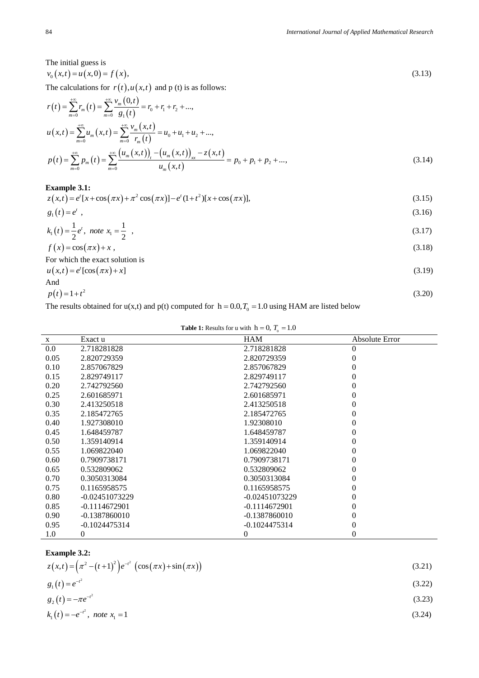The initial guess is  $v_0(x,t) = u(x,0) = f(x),$  (3.13)

The calculations for 
$$
r(t)
$$
,  $u(x,t)$  and p (t) is as follows:  
\n
$$
r(t) = \sum_{m=0}^{+\infty} r_m(t) = \sum_{m=0}^{+\infty} \frac{v_m(0,t)}{g_1(t)} = r_0 + r_1 + r_2 + ...
$$
\n
$$
u(x,t) = \sum_{m=0}^{+\infty} u_m(x,t) = \sum_{m=0}^{+\infty} \frac{v_m(x,t)}{r_m(t)} = u_0 + u_1 + u_2 + ...
$$
\n
$$
p(t) = \sum_{m=0}^{+\infty} p_m(t) = \sum_{m=0}^{+\infty} \frac{(u_m(x,t))_t - (u_m(x,t))_{xx} - z(x,t)}{u_m(x,t)} = p_0 + p_1 + p_2 + ... \tag{3.14}
$$

#### **Example 3.1:**

Example 3.1:  
\n
$$
z(x,t) = e^{t}[x + \cos(\pi x) + \pi^{2} \cos(\pi x)] - e^{t}(1+t^{2})[x + \cos(\pi x)],
$$
\n(3.15)

$$
g_1(t) = e^t \t\t(3.16)
$$

$$
k_1(t) = \frac{1}{2}e^t, \text{ note } x_1 = \frac{1}{2}, \tag{3.17}
$$

$$
f(x) = \cos(\pi x) + x,
$$
  
(3.18) For which the exact solution is

 $u(x,t) = e^{t} [\cos(\pi x) + x]$  (3.19)

And  

$$
p(t)=1+t^2
$$
 (3.20)

The results obtained for  $u(x,t)$  and  $p(t)$  computed for  $h = 0.0, T_0 = 1.0$  using HAM are listed below

| $\mathbf{X}$ | Exact u          | <b>HAM</b>       | Absolute Error |
|--------------|------------------|------------------|----------------|
| $0.0\,$      | 2.718281828      | 2.718281828      | 0              |
| 0.05         | 2.820729359      | 2.820729359      | $^{(1)}$       |
| 0.10         | 2.857067829      | 2.857067829      | $\Omega$       |
| 0.15         | 2.829749117      | 2.829749117      | 0              |
| 0.20         | 2.742792560      | 2.742792560      | 0              |
| 0.25         | 2.601685971      | 2.601685971      | 0              |
| 0.30         | 2.413250518      | 2.413250518      | 0              |
| 0.35         | 2.185472765      | 2.185472765      | 0              |
| 0.40         | 1.927308010      | 1.92308010       | $\Omega$       |
| 0.45         | 1.648459787      | 1.648459787      | 0              |
| 0.50         | 1.359140914      | 1.359140914      | $\Omega$       |
| 0.55         | 1.069822040      | 1.069822040      | $\Omega$       |
| 0.60         | 0.7909738171     | 0.7909738171     | 0              |
| 0.65         | 0.532809062      | 0.532809062      | 0              |
| 0.70         | 0.3050313084     | 0.3050313084     | $\Omega$       |
| 0.75         | 0.1165958575     | 0.1165958575     | 0              |
| 0.80         | $-0.02451073229$ | $-0.02451073229$ | 0              |
| 0.85         | $-0.1114672901$  | $-0.1114672901$  | 0              |
| 0.90         | $-0.1387860010$  | $-0.1387860010$  | 0              |
| 0.95         | $-0.1024475314$  | $-0.1024475314$  | 0              |
| 1.0          | 0                | $\boldsymbol{0}$ | 0              |

### **Table 1:** Results for **u** with  $h = 0$ ,  $T_0 = 1.0$

| <b>Example 3.2:</b> |  |
|---------------------|--|
|---------------------|--|

| <b>Example 3.2:</b>                                               |        |
|-------------------------------------------------------------------|--------|
| $z(x,t) = (\pi^2 - (t+1)^2) e^{-t^2} (\cos(\pi x) + \sin(\pi x))$ | (3.21) |
| $g_1(t) = e^{-t^2}$                                               | (3.22) |
| $g_2(t) = -\pi e^{-t^2}$                                          | (3.23) |
| $k_1(t) = -e^{-t^2}$ , note $x_1 = 1$                             | (3.24) |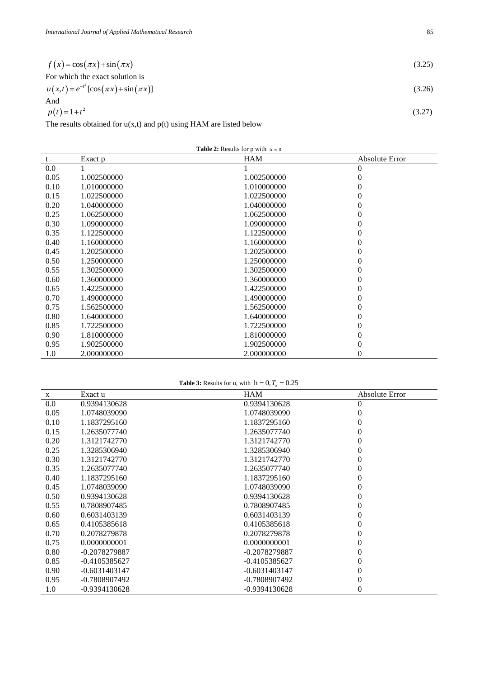| $f(x) = \cos(\pi x) + \sin(\pi x)$              | (3.25) |
|-------------------------------------------------|--------|
| For which the exact solution is                 |        |
| $u(x,t) = e^{-t^2} [\cos(\pi x) + \sin(\pi x)]$ | (3.26) |
| And                                             |        |
| $p(t)=1+t^2$                                    | (3.27) |

The results obtained for  $u(x,t)$  and  $p(t)$  using HAM are listed below

| <b>Table 2:</b> Results for p with $h = 0$ |  |  |  |  |  |
|--------------------------------------------|--|--|--|--|--|
|--------------------------------------------|--|--|--|--|--|

| t    | Exact p     | <b>HAM</b>  | Absolute Error |
|------|-------------|-------------|----------------|
| 0.0  |             |             | 0              |
| 0.05 | 1.002500000 | 1.002500000 | 0              |
| 0.10 | 1.010000000 | 1.010000000 | 0              |
| 0.15 | 1.022500000 | 1.022500000 | 0              |
| 0.20 | 1.040000000 | 1.040000000 | 0              |
| 0.25 | 1.062500000 | 1.062500000 | 0              |
| 0.30 | 1.090000000 | 1.090000000 | 0              |
| 0.35 | 1.122500000 | 1.122500000 | 0              |
| 0.40 | 1.160000000 | 1.160000000 | 0              |
| 0.45 | 1.202500000 | 1.202500000 | 0              |
| 0.50 | 1.250000000 | 1.250000000 | 0              |
| 0.55 | 1.302500000 | 1.302500000 | 0              |
| 0.60 | 1.360000000 | 1.360000000 | 0              |
| 0.65 | 1.422500000 | 1.422500000 | 0              |
| 0.70 | 1.490000000 | 1.490000000 | 0              |
| 0.75 | 1.562500000 | 1.562500000 | 0              |
| 0.80 | 1.640000000 | 1.640000000 | 0              |
| 0.85 | 1.722500000 | 1.722500000 | 0              |
| 0.90 | 1.810000000 | 1.810000000 | 0              |
| 0.95 | 1.902500000 | 1.902500000 | 0              |
| 1.0  | 2.000000000 | 2.000000000 | 0              |

#### **Table 3:** Results for u, with  $h = 0, T_0 = 0.25$

| X    | Exact u         | <b>HAM</b>      | Absolute Error |
|------|-----------------|-----------------|----------------|
| 0.0  | 0.9394130628    | 0.9394130628    | 0              |
| 0.05 | 1.0748039090    | 1.0748039090    | 0              |
| 0.10 | 1.1837295160    | 1.1837295160    | 0              |
| 0.15 | 1.2635077740    | 1.2635077740    | 0              |
| 0.20 | 1.3121742770    | 1.3121742770    | 0              |
| 0.25 | 1.3285306940    | 1.3285306940    | 0              |
| 0.30 | 1.3121742770    | 1.3121742770    | 0              |
| 0.35 | 1.2635077740    | 1.2635077740    | 0              |
| 0.40 | 1.1837295160    | 1.1837295160    | 0              |
| 0.45 | 1.0748039090    | 1.0748039090    | 0              |
| 0.50 | 0.9394130628    | 0.9394130628    | 0              |
| 0.55 | 0.7808907485    | 0.7808907485    | 0              |
| 0.60 | 0.6031403139    | 0.6031403139    | 0              |
| 0.65 | 0.4105385618    | 0.4105385618    | 0              |
| 0.70 | 0.2078279878    | 0.2078279878    | 0              |
| 0.75 | 0.0000000001    | 0.0000000001    | 0              |
| 0.80 | -0.2078279887   | -0.2078279887   | 0              |
| 0.85 | $-0.4105385627$ | $-0.4105385627$ | 0              |
| 0.90 | $-0.6031403147$ | $-0.6031403147$ | 0              |
| 0.95 | -0.7808907492   | -0.7808907492   | 0              |
| 1.0  | $-0.9394130628$ | $-0.9394130628$ | 0              |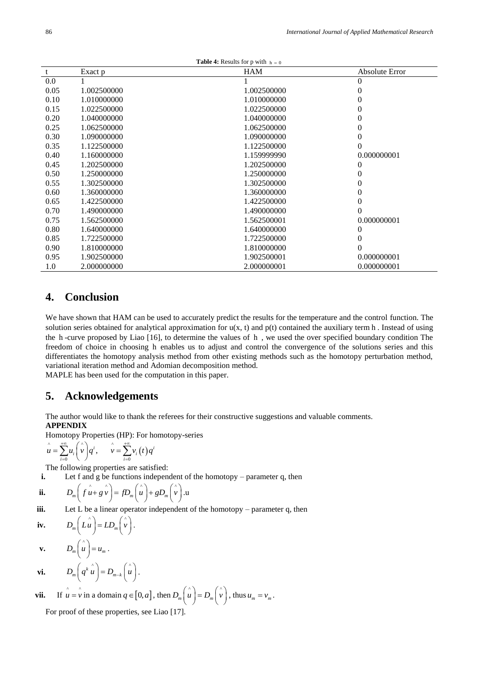| <b>Table 4:</b> Results for p with $h = 0$ |             |             |                  |
|--------------------------------------------|-------------|-------------|------------------|
| t                                          | Exact p     | <b>HAM</b>  | Absolute Error   |
| 0.0                                        |             |             | 0                |
| 0.05                                       | 1.002500000 | 1.002500000 | $\overline{0}$   |
| 0.10                                       | 1.010000000 | 1.010000000 | $\boldsymbol{0}$ |
| 0.15                                       | 1.022500000 | 1.022500000 | $\boldsymbol{0}$ |
| 0.20                                       | 1.040000000 | 1.040000000 | $\boldsymbol{0}$ |
| 0.25                                       | 1.062500000 | 1.062500000 | $\overline{0}$   |
| 0.30                                       | 1.090000000 | 1.090000000 | $\boldsymbol{0}$ |
| 0.35                                       | 1.122500000 | 1.122500000 | $\theta$         |
| 0.40                                       | 1.160000000 | 1.159999990 | 0.000000001      |
| 0.45                                       | 1.202500000 | 1.202500000 | 0                |
| 0.50                                       | 1.250000000 | 1.250000000 | 0                |
| 0.55                                       | 1.302500000 | 1.302500000 | $\boldsymbol{0}$ |
| 0.60                                       | 1.360000000 | 1.360000000 | $\boldsymbol{0}$ |
| 0.65                                       | 1.422500000 | 1.422500000 | $\overline{0}$   |
| 0.70                                       | 1.490000000 | 1.490000000 | $\theta$         |
| 0.75                                       | 1.562500000 | 1.562500001 | 0.000000001      |
| 0.80                                       | 1.640000000 | 1.640000000 | 0                |
| 0.85                                       | 1.722500000 | 1.722500000 | $\overline{0}$   |
| 0.90                                       | 1.810000000 | 1.810000000 | $\theta$         |
| 0.95                                       | 1.902500000 | 1.902500001 | 0.000000001      |
| 1.0                                        | 2.000000000 | 2.000000001 | 0.000000001      |

# **4. Conclusion**

We have shown that HAM can be used to accurately predict the results for the temperature and the control function. The solution series obtained for analytical approximation for  $u(x, t)$  and  $p(t)$  contained the auxiliary term h. Instead of using the h -curve proposed by Liao [16], to determine the values of h , we used the over specified boundary condition The freedom of choice in choosing h enables us to adjust and control the convergence of the solutions series and this differentiates the homotopy analysis method from other existing methods such as the homotopy perturbation method, variational iteration method and Adomian decomposition method. MAPLE has been used for the computation in this paper.

# **5. Acknowledgements**

The author would like to thank the referees for their constructive suggestions and valuable comments. **APPENDIX**

Homotopy Properties (HP): For homotopy-series  
\n
$$
\hat{u} = \sum_{i=0}^{+\infty} u_i \begin{pmatrix} x \\ v \end{pmatrix} q^i, \qquad \hat{v} = \sum_{i=0}^{+\infty} v_i(t) q^i
$$

The following properties are satisfied:

i. Let f and g be functions independent of the homotopy – parameter q, then  
ii. 
$$
D_m\left(\hat{f u} + g \hat{v}\right) = fD_m\left(\hat{u}\right) + gD_m\left(\hat{v}\right).
$$

iii. Let 
$$
L
$$
 be a linear operator independent of the homotopy – parameter  $q$ , then

$$
\textbf{iv.} \qquad D_m\bigg(L\overset{\wedge}{u}\bigg) = LD_m\bigg(\overset{\wedge}{v}\bigg).
$$

**v.**  $D_m\left(\begin{array}{c}\n u\n\end{array}\right)=u_m$ .  $($   $\wedge$   $($   $\wedge$   $)$ 

$$
\mathbf{vi.} \qquad D_m\bigg(q^k\,\hat{\mathbf{u}}\bigg) = D_{m-k}\bigg(\hat{\mathbf{u}}\bigg).
$$

**vii.** If 
$$
\hat{u} = \hat{v}
$$
 in a domain  $q \in [0, a]$ , then  $D_m\left(\hat{u}\right) = D_m\left(\hat{v}\right)$ , thus  $u_m = v_m$ .

For proof of these properties, see Liao [17].